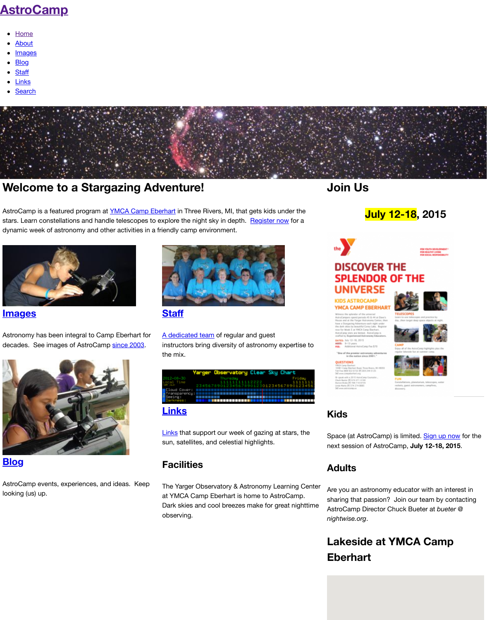stars. Learn constellations and handle telescopes to explore the night sky in depth. Register now for a [dynamic week of astro](http://www.astrocamp.us/)nomy and other activities in a friendly camp environment.



**Im[ages](http://www.astrocamp.us/index.php/search/)**

Astronomy has been integral to Camp Eberhart for decades. See images of AstroCamp since 2003.



#### **Blog**

[AstroCamp events, experiences, and ideas. K](http://www.astrocamp.us/index.php/2003-2011/)eep looking (us) up.





A dedicated team of regular and guest instructors bring diversity of astronomy expertise t the mix.

|                                                                                          |  |                            |  |  |  |  | Yarger Observatory Clear Sky Chart |  |  |  |  |  |  |  |
|------------------------------------------------------------------------------------------|--|----------------------------|--|--|--|--|------------------------------------|--|--|--|--|--|--|--|
|                                                                                          |  | Thursday<br>11111111112222 |  |  |  |  |                                    |  |  |  |  |  |  |  |
| 23456789012345678901230123456789012345<br><b>Eloud Cover: ENDERGEREERSERGEERSERGEERS</b> |  |                            |  |  |  |  |                                    |  |  |  |  |  |  |  |
|                                                                                          |  |                            |  |  |  |  |                                    |  |  |  |  |  |  |  |

#### **Links**

[Links](http://campeb.org/) that support our week of gazing at stars, the sun, satellites, and celestial hi[ghlights.](http://campeb.org/sign-up)

#### **Facilities**

[The Yarger Observatory & Astronomy Lear](http://www.astrocamp.us/index.php/about/staff/)ning Center at YMCA Camp Eberhart is home to AstroCamp. Dark skies and cool breezes make for great nightti observing.